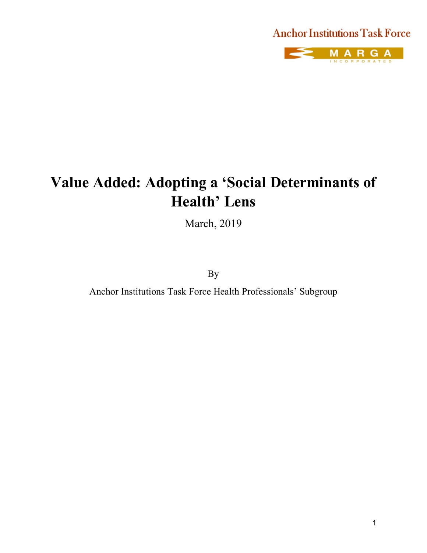# **Anchor Institutions Task Force**



# **Value Added: Adopting a 'Social Determinants of Health' Lens**

March, 2019

By

Anchor Institutions Task Force Health Professionals' Subgroup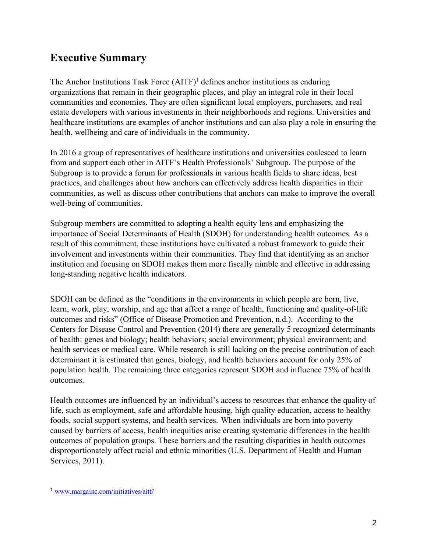### **Executive Summary**

The Anchor Institutions Task Force  $(AITF)^1$  defines anchor institutions as enduring organizations that remain in their geographic places, and play an integral role in their local communities and economies. They are often significant local employers, purchasers, and real estate developers with various investments in their neighborhoods and regions. Universities and healthcare institutions are examples of anchor institutions and can also play a role in ensuring the health, wellbeing and care of individuals in the community.

In 2016 a group of representatives of healthcare institutions and universities coalesced to learn from and support each other in AITF's Health Professionals' Subgroup. The purpose of the Subgroup is to provide a forum for professionals in various health fields to share ideas, best practices, and challenges about how anchors can effectively address health disparities in their communities, as well as discuss other contributions that anchors can make to improve the overall well-being of communities.

Subgroup members are committed to adopting a health equity lens and emphasizing the importance of Social Determinants of Health (SDOH) for understanding health outcomes. As a result of this commitment, these institutions have cultivated a robust framework to guide their involvement and investments within their communities. They find that identifying as an anchor institution and focusing on SDOH makes them more fiscally nimble and effective in addressing long-standing negative health indicators.

SDOH can be defined as the "conditions in the environments in which people are born, live, learn, work, play, worship, and age that affect a range of health, functioning and quality-of-life outcomes and risks" (Office of Disease Promotion and Prevention, n.d.). According to the Centers for Disease Control and Prevention (2014) there are generally 5 recognized determinants of health: genes and biology; health behaviors; social environment; physical environment; and health services or medical care. While research is still lacking on the precise contribution of each determinant it is estimated that genes, biology, and health behaviors account for only 25% of population health. The remaining three categories represent SDOH and influence 75% of health outcomes.

Health outcomes are influenced by an individual's access to resources that enhance the quality of life, such as employment, safe and affordable housing, high quality education, access to healthy foods, social support systems, and health services. When individuals are born into poverty caused by barriers of access, health inequities arise creating systematic differences in the health outcomes of population groups. These barriers and the resulting disparities in health outcomes disproportionately affect racial and ethnic minorities (U.S. Department of Health and Human Services, 2011).

 <sup>1</sup> www.margainc.com/initiatives/aitf/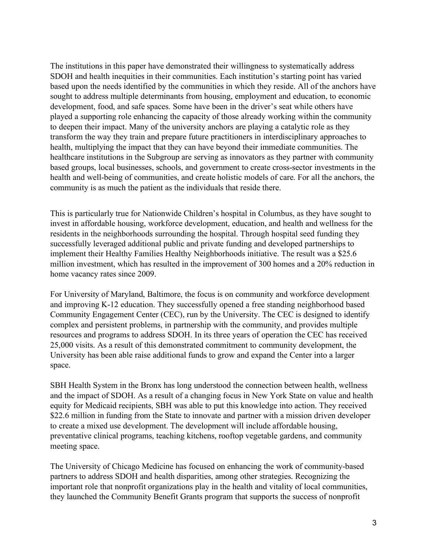The institutions in this paper have demonstrated their willingness to systematically address SDOH and health inequities in their communities. Each institution's starting point has varied based upon the needs identified by the communities in which they reside. All of the anchors have sought to address multiple determinants from housing, employment and education, to economic development, food, and safe spaces. Some have been in the driver's seat while others have played a supporting role enhancing the capacity of those already working within the community to deepen their impact. Many of the university anchors are playing a catalytic role as they transform the way they train and prepare future practitioners in interdisciplinary approaches to health, multiplying the impact that they can have beyond their immediate communities. The healthcare institutions in the Subgroup are serving as innovators as they partner with community based groups, local businesses, schools, and government to create cross-sector investments in the health and well-being of communities, and create holistic models of care. For all the anchors, the community is as much the patient as the individuals that reside there.

This is particularly true for Nationwide Children's hospital in Columbus, as they have sought to invest in affordable housing, workforce development, education, and health and wellness for the residents in the neighborhoods surrounding the hospital. Through hospital seed funding they successfully leveraged additional public and private funding and developed partnerships to implement their Healthy Families Healthy Neighborhoods initiative. The result was a \$25.6 million investment, which has resulted in the improvement of 300 homes and a 20% reduction in home vacancy rates since 2009.

For University of Maryland, Baltimore, the focus is on community and workforce development and improving K-12 education. They successfully opened a free standing neighborhood based Community Engagement Center (CEC), run by the University. The CEC is designed to identify complex and persistent problems, in partnership with the community, and provides multiple resources and programs to address SDOH. In its three years of operation the CEC has received 25,000 visits. As a result of this demonstrated commitment to community development, the University has been able raise additional funds to grow and expand the Center into a larger space.

SBH Health System in the Bronx has long understood the connection between health, wellness and the impact of SDOH. As a result of a changing focus in New York State on value and health equity for Medicaid recipients, SBH was able to put this knowledge into action. They received \$22.6 million in funding from the State to innovate and partner with a mission driven developer to create a mixed use development. The development will include affordable housing, preventative clinical programs, teaching kitchens, rooftop vegetable gardens, and community meeting space.

The University of Chicago Medicine has focused on enhancing the work of community-based partners to address SDOH and health disparities, among other strategies. Recognizing the important role that nonprofit organizations play in the health and vitality of local communities, they launched the Community Benefit Grants program that supports the success of nonprofit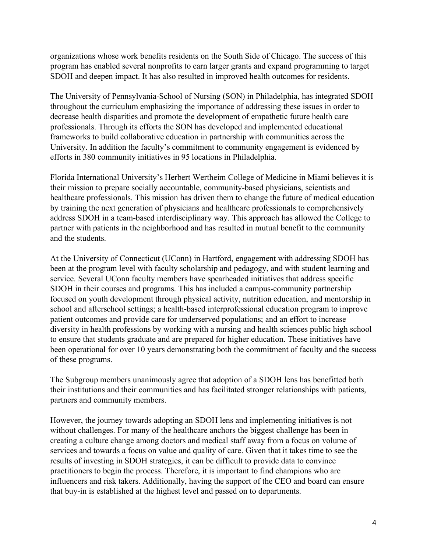organizations whose work benefits residents on the South Side of Chicago. The success of this program has enabled several nonprofits to earn larger grants and expand programming to target SDOH and deepen impact. It has also resulted in improved health outcomes for residents.

The University of Pennsylvania-School of Nursing (SON) in Philadelphia, has integrated SDOH throughout the curriculum emphasizing the importance of addressing these issues in order to decrease health disparities and promote the development of empathetic future health care professionals. Through its efforts the SON has developed and implemented educational frameworks to build collaborative education in partnership with communities across the University. In addition the faculty's commitment to community engagement is evidenced by efforts in 380 community initiatives in 95 locations in Philadelphia.

Florida International University's Herbert Wertheim College of Medicine in Miami believes it is their mission to prepare socially accountable, community-based physicians, scientists and healthcare professionals. This mission has driven them to change the future of medical education by training the next generation of physicians and healthcare professionals to comprehensively address SDOH in a team-based interdisciplinary way. This approach has allowed the College to partner with patients in the neighborhood and has resulted in mutual benefit to the community and the students.

At the University of Connecticut (UConn) in Hartford, engagement with addressing SDOH has been at the program level with faculty scholarship and pedagogy, and with student learning and service. Several UConn faculty members have spearheaded initiatives that address specific SDOH in their courses and programs. This has included a campus-community partnership focused on youth development through physical activity, nutrition education, and mentorship in school and afterschool settings; a health-based interprofessional education program to improve patient outcomes and provide care for underserved populations; and an effort to increase diversity in health professions by working with a nursing and health sciences public high school to ensure that students graduate and are prepared for higher education. These initiatives have been operational for over 10 years demonstrating both the commitment of faculty and the success of these programs.

The Subgroup members unanimously agree that adoption of a SDOH lens has benefitted both their institutions and their communities and has facilitated stronger relationships with patients, partners and community members.

However, the journey towards adopting an SDOH lens and implementing initiatives is not without challenges. For many of the healthcare anchors the biggest challenge has been in creating a culture change among doctors and medical staff away from a focus on volume of services and towards a focus on value and quality of care. Given that it takes time to see the results of investing in SDOH strategies, it can be difficult to provide data to convince practitioners to begin the process. Therefore, it is important to find champions who are influencers and risk takers. Additionally, having the support of the CEO and board can ensure that buy-in is established at the highest level and passed on to departments.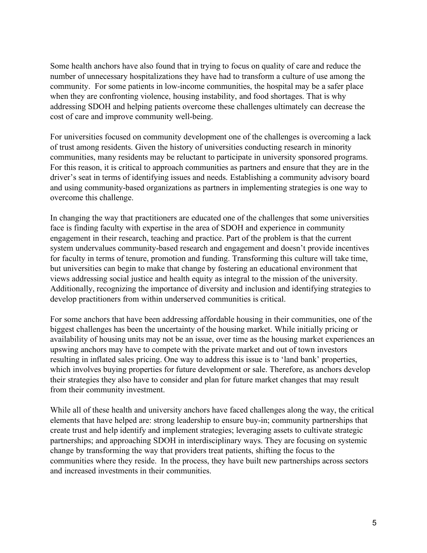Some health anchors have also found that in trying to focus on quality of care and reduce the number of unnecessary hospitalizations they have had to transform a culture of use among the community. For some patients in low-income communities, the hospital may be a safer place when they are confronting violence, housing instability, and food shortages. That is why addressing SDOH and helping patients overcome these challenges ultimately can decrease the cost of care and improve community well-being.

For universities focused on community development one of the challenges is overcoming a lack of trust among residents. Given the history of universities conducting research in minority communities, many residents may be reluctant to participate in university sponsored programs. For this reason, it is critical to approach communities as partners and ensure that they are in the driver's seat in terms of identifying issues and needs. Establishing a community advisory board and using community-based organizations as partners in implementing strategies is one way to overcome this challenge.

In changing the way that practitioners are educated one of the challenges that some universities face is finding faculty with expertise in the area of SDOH and experience in community engagement in their research, teaching and practice. Part of the problem is that the current system undervalues community-based research and engagement and doesn't provide incentives for faculty in terms of tenure, promotion and funding. Transforming this culture will take time, but universities can begin to make that change by fostering an educational environment that views addressing social justice and health equity as integral to the mission of the university. Additionally, recognizing the importance of diversity and inclusion and identifying strategies to develop practitioners from within underserved communities is critical.

For some anchors that have been addressing affordable housing in their communities, one of the biggest challenges has been the uncertainty of the housing market. While initially pricing or availability of housing units may not be an issue, over time as the housing market experiences an upswing anchors may have to compete with the private market and out of town investors resulting in inflated sales pricing. One way to address this issue is to 'land bank' properties, which involves buying properties for future development or sale. Therefore, as anchors develop their strategies they also have to consider and plan for future market changes that may result from their community investment.

While all of these health and university anchors have faced challenges along the way, the critical elements that have helped are: strong leadership to ensure buy-in; community partnerships that create trust and help identify and implement strategies; leveraging assets to cultivate strategic partnerships; and approaching SDOH in interdisciplinary ways. They are focusing on systemic change by transforming the way that providers treat patients, shifting the focus to the communities where they reside. In the process, they have built new partnerships across sectors and increased investments in their communities.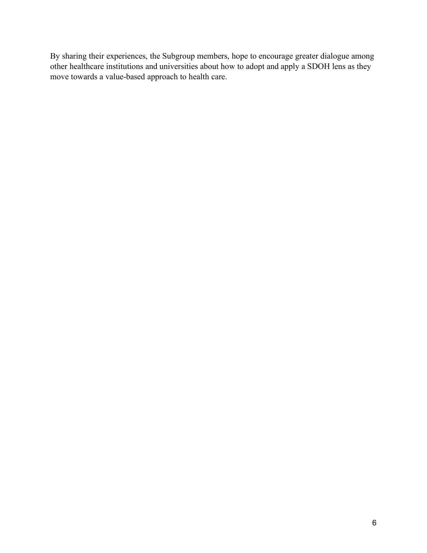By sharing their experiences, the Subgroup members, hope to encourage greater dialogue among other healthcare institutions and universities about how to adopt and apply a SDOH lens as they move towards a value-based approach to health care.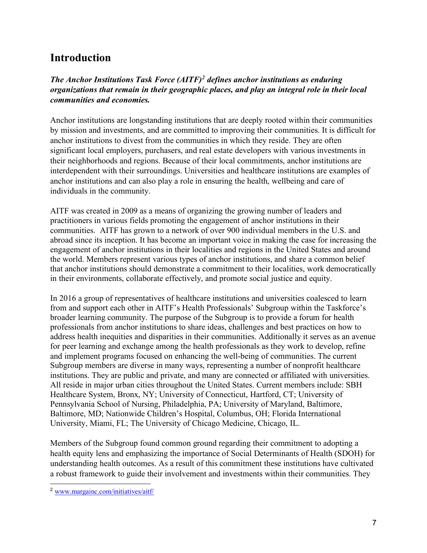### **Introduction**

*The Anchor Institutions Task Force (AITF)2 defines anchor institutions as enduring organizations that remain in their geographic places, and play an integral role in their local communities and economies.*

Anchor institutions are longstanding institutions that are deeply rooted within their communities by mission and investments, and are committed to improving their communities. It is difficult for anchor institutions to divest from the communities in which they reside. They are often significant local employers, purchasers, and real estate developers with various investments in their neighborhoods and regions. Because of their local commitments, anchor institutions are interdependent with their surroundings. Universities and healthcare institutions are examples of anchor institutions and can also play a role in ensuring the health, wellbeing and care of individuals in the community.

AITF was created in 2009 as a means of organizing the growing number of leaders and practitioners in various fields promoting the engagement of anchor institutions in their communities. AITF has grown to a network of over 900 individual members in the U.S. and abroad since its inception. It has become an important voice in making the case for increasing the engagement of anchor institutions in their localities and regions in the United States and around the world. Members represent various types of anchor institutions, and share a common belief that anchor institutions should demonstrate a commitment to their localities, work democratically in their environments, collaborate effectively, and promote social justice and equity.

In 2016 a group of representatives of healthcare institutions and universities coalesced to learn from and support each other in AITF's Health Professionals' Subgroup within the Taskforce's broader learning community. The purpose of the Subgroup is to provide a forum for health professionals from anchor institutions to share ideas, challenges and best practices on how to address health inequities and disparities in their communities. Additionally it serves as an avenue for peer learning and exchange among the health professionals as they work to develop, refine and implement programs focused on enhancing the well-being of communities. The current Subgroup members are diverse in many ways, representing a number of nonprofit healthcare institutions. They are public and private, and many are connected or affiliated with universities. All reside in major urban cities throughout the United States. Current members include: SBH Healthcare System, Bronx, NY; University of Connecticut, Hartford, CT; University of Pennsylvania School of Nursing, Philadelphia, PA; University of Maryland, Baltimore, Baltimore, MD; Nationwide Children's Hospital, Columbus, OH; Florida International University, Miami, FL; The University of Chicago Medicine, Chicago, IL.

Members of the Subgroup found common ground regarding their commitment to adopting a health equity lens and emphasizing the importance of Social Determinants of Health (SDOH) for understanding health outcomes. As a result of this commitment these institutions have cultivated a robust framework to guide their involvement and investments within their communities. They

 <sup>2</sup> www.margainc.com/initiatives/aitf/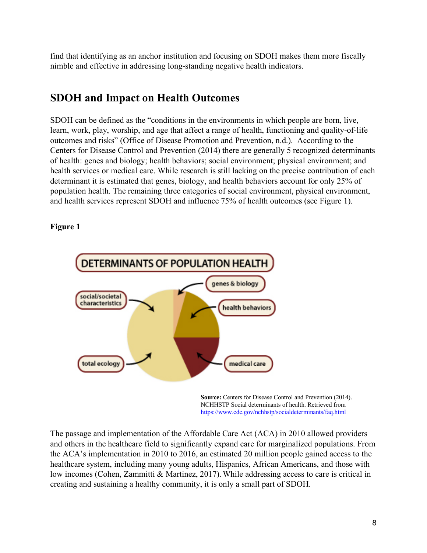find that identifying as an anchor institution and focusing on SDOH makes them more fiscally nimble and effective in addressing long-standing negative health indicators.

### **SDOH and Impact on Health Outcomes**

SDOH can be defined as the "conditions in the environments in which people are born, live, learn, work, play, worship, and age that affect a range of health, functioning and quality-of-life outcomes and risks" (Office of Disease Promotion and Prevention, n.d.). According to the Centers for Disease Control and Prevention (2014) there are generally 5 recognized determinants of health: genes and biology; health behaviors; social environment; physical environment; and health services or medical care. While research is still lacking on the precise contribution of each determinant it is estimated that genes, biology, and health behaviors account for only 25% of population health. The remaining three categories of social environment, physical environment, and health services represent SDOH and influence 75% of health outcomes (see Figure 1).

#### **Figure 1**



**Source:** Centers for Disease Control and Prevention (2014). NCHHSTP Social determinants of health. Retrieved from https://www.cdc.gov/nchhstp/socialdeterminants/faq.html

The passage and implementation of the Affordable Care Act (ACA) in 2010 allowed providers and others in the healthcare field to significantly expand care for marginalized populations. From the ACA's implementation in 2010 to 2016, an estimated 20 million people gained access to the healthcare system, including many young adults, Hispanics, African Americans, and those with low incomes (Cohen, Zammitti & Martinez, 2017).While addressing access to care is critical in creating and sustaining a healthy community, it is only a small part of SDOH.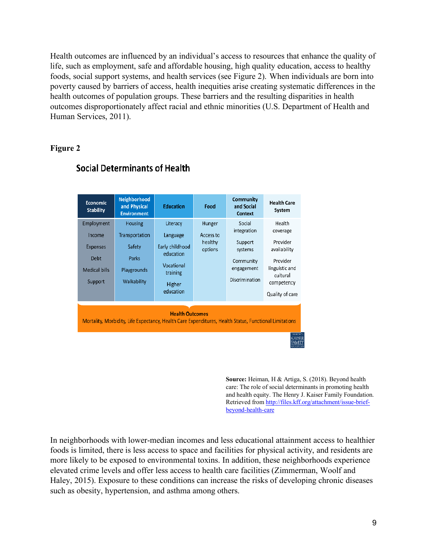Health outcomes are influenced by an individual's access to resources that enhance the quality of life, such as employment, safe and affordable housing, high quality education, access to healthy foods, social support systems, and health services (see Figure 2). When individuals are born into poverty caused by barriers of access, health inequities arise creating systematic differences in the health outcomes of population groups. These barriers and the resulting disparities in health outcomes disproportionately affect racial and ethnic minorities (U.S. Department of Health and Human Services, 2011).

#### **Figure 2**



### **Social Determinants of Health**

**Source:** Heiman, H & Artiga, S. (2018). Beyond health care: The role of social determinants in promoting health and health equity. The Henry J. Kaiser Family Foundation. Retrieved from http://files.kff.org/attachment/issue-briefbeyond-health-care

In neighborhoods with lower-median incomes and less educational attainment access to healthier foods is limited, there is less access to space and facilities for physical activity, and residents are more likely to be exposed to environmental toxins. In addition, these neighborhoods experience elevated crime levels and offer less access to health care facilities (Zimmerman, Woolf and Haley, 2015). Exposure to these conditions can increase the risks of developing chronic diseases such as obesity, hypertension, and asthma among others.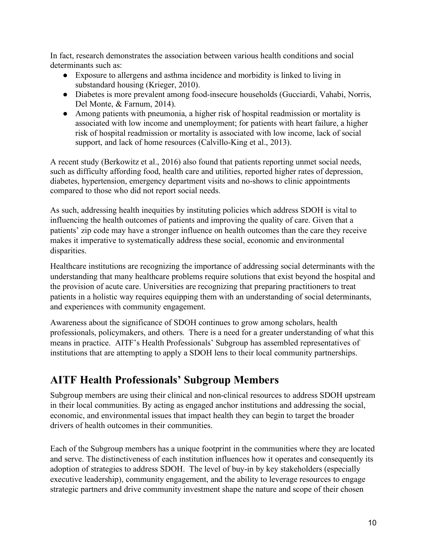In fact, research demonstrates the association between various health conditions and social determinants such as:

- Exposure to allergens and asthma incidence and morbidity is linked to living in substandard housing (Krieger, 2010).
- Diabetes is more prevalent among food-insecure households (Gucciardi, Vahabi, Norris, Del Monte, & Farnum, 2014).
- Among patients with pneumonia, a higher risk of hospital readmission or mortality is associated with low income and unemployment; for patients with heart failure, a higher risk of hospital readmission or mortality is associated with low income, lack of social support, and lack of home resources (Calvillo-King et al., 2013).

A recent study (Berkowitz et al., 2016) also found that patients reporting unmet social needs, such as difficulty affording food, health care and utilities, reported higher rates of depression, diabetes, hypertension, emergency department visits and no-shows to clinic appointments compared to those who did not report social needs.

As such, addressing health inequities by instituting policies which address SDOH is vital to influencing the health outcomes of patients and improving the quality of care. Given that a patients' zip code may have a stronger influence on health outcomes than the care they receive makes it imperative to systematically address these social, economic and environmental disparities.

Healthcare institutions are recognizing the importance of addressing social determinants with the understanding that many healthcare problems require solutions that exist beyond the hospital and the provision of acute care. Universities are recognizing that preparing practitioners to treat patients in a holistic way requires equipping them with an understanding of social determinants, and experiences with community engagement.

Awareness about the significance of SDOH continues to grow among scholars, health professionals, policymakers, and others. There is a need for a greater understanding of what this means in practice. AITF's Health Professionals' Subgroup has assembled representatives of institutions that are attempting to apply a SDOH lens to their local community partnerships.

### **AITF Health Professionals' Subgroup Members**

Subgroup members are using their clinical and non-clinical resources to address SDOH upstream in their local communities. By acting as engaged anchor institutions and addressing the social, economic, and environmental issues that impact health they can begin to target the broader drivers of health outcomes in their communities.

Each of the Subgroup members has a unique footprint in the communities where they are located and serve. The distinctiveness of each institution influences how it operates and consequently its adoption of strategies to address SDOH. The level of buy-in by key stakeholders (especially executive leadership), community engagement, and the ability to leverage resources to engage strategic partners and drive community investment shape the nature and scope of their chosen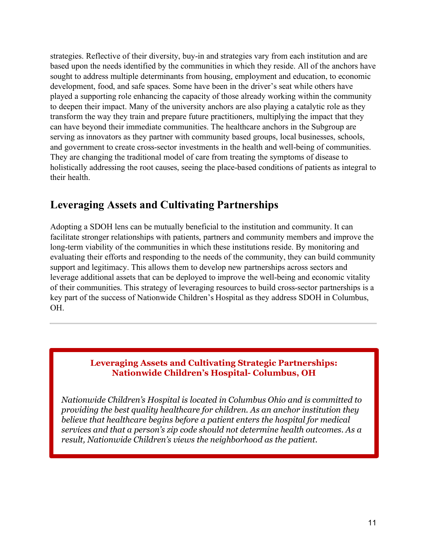strategies. Reflective of their diversity, buy-in and strategies vary from each institution and are based upon the needs identified by the communities in which they reside. All of the anchors have sought to address multiple determinants from housing, employment and education, to economic development, food, and safe spaces. Some have been in the driver's seat while others have played a supporting role enhancing the capacity of those already working within the community to deepen their impact. Many of the university anchors are also playing a catalytic role as they transform the way they train and prepare future practitioners, multiplying the impact that they can have beyond their immediate communities. The healthcare anchors in the Subgroup are serving as innovators as they partner with community based groups, local businesses, schools, and government to create cross-sector investments in the health and well-being of communities. They are changing the traditional model of care from treating the symptoms of disease to holistically addressing the root causes, seeing the place-based conditions of patients as integral to their health.

# **Leveraging Assets and Cultivating Partnerships**

Adopting a SDOH lens can be mutually beneficial to the institution and community. It can facilitate stronger relationships with patients, partners and community members and improve the long-term viability of the communities in which these institutions reside. By monitoring and evaluating their efforts and responding to the needs of the community, they can build community support and legitimacy. This allows them to develop new partnerships across sectors and leverage additional assets that can be deployed to improve the well-being and economic vitality of their communities. This strategy of leveraging resources to build cross-sector partnerships is a key part of the success of Nationwide Children's Hospital as they address SDOH in Columbus, OH.

### **Leveraging Assets and Cultivating Strategic Partnerships: Nationwide Children's Hospital- Columbus, OH**

*Nationwide Children's Hospital is located in Columbus Ohio and is committed to providing the best quality healthcare for children. As an anchor institution they believe that healthcare begins before a patient enters the hospital for medical services and that a person's zip code should not determine health outcomes. As a result, Nationwide Children's views the neighborhood as the patient.*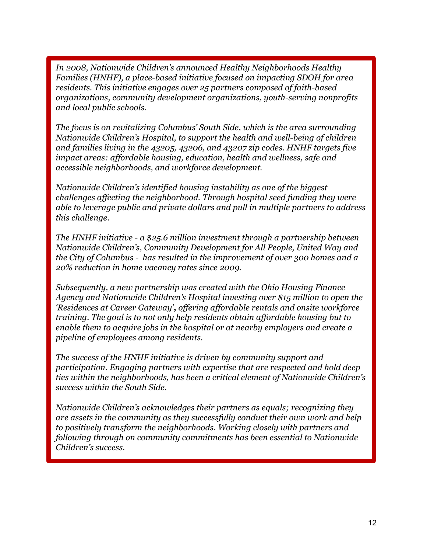*In 2008, Nationwide Children's announced Healthy Neighborhoods Healthy Families (HNHF), a place-based initiative focused on impacting SDOH for area residents. This initiative engages over 25 partners composed of faith-based organizations, community development organizations, youth-serving nonprofits and local public schools.*

*The focus is on revitalizing Columbus' South Side, which is the area surrounding Nationwide Children's Hospital, to support the health and well-being of children and families living in the 43205, 43206, and 43207 zip codes. HNHF targets five impact areas: affordable housing, education, health and wellness, safe and accessible neighborhoods, and workforce development.* 

*Nationwide Children's identified housing instability as one of the biggest challenges affecting the neighborhood. Through hospital seed funding they were able to leverage public and private dollars and pull in multiple partners to address this challenge.* 

*The HNHF initiative - a \$25.6 million investment through a partnership between Nationwide Children's, Community Development for All People, United Way and the City of Columbus - has resulted in the improvement of over 300 homes and a 20% reduction in home vacancy rates since 2009.* 

*Subsequently, a new partnership was created with the Ohio Housing Finance Agency and Nationwide Children's Hospital investing over \$15 million to open the 'Residences at Career Gateway', offering affordable rentals and onsite workforce training. The goal is to not only help residents obtain affordable housing but to enable them to acquire jobs in the hospital or at nearby employers and create a pipeline of employees among residents.* 

*The success of the HNHF initiative is driven by community support and participation. Engaging partners with expertise that are respected and hold deep ties within the neighborhoods, has been a critical element of Nationwide Children's success within the South Side.* 

*Nationwide Children's acknowledges their partners as equals; recognizing they are assets in the community as they successfully conduct their own work and help to positively transform the neighborhoods. Working closely with partners and following through on community commitments has been essential to Nationwide Children's success.*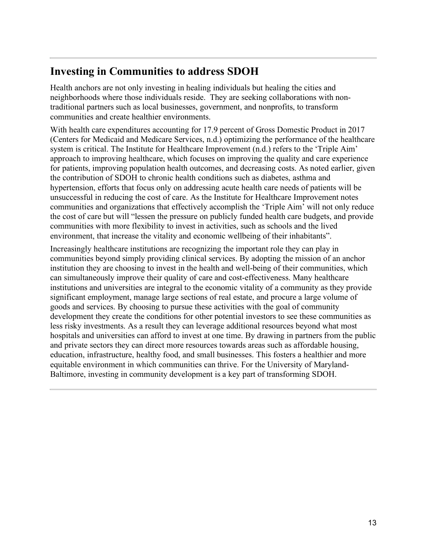## **Investing in Communities to address SDOH**

Health anchors are not only investing in healing individuals but healing the cities and neighborhoods where those individuals reside. They are seeking collaborations with nontraditional partners such as local businesses, government, and nonprofits, to transform communities and create healthier environments.

With health care expenditures accounting for 17.9 percent of Gross Domestic Product in 2017 (Centers for Medicaid and Medicare Services, n.d.) optimizing the performance of the healthcare system is critical. The Institute for Healthcare Improvement (n.d.) refers to the 'Triple Aim' approach to improving healthcare, which focuses on improving the quality and care experience for patients, improving population health outcomes, and decreasing costs. As noted earlier, given the contribution of SDOH to chronic health conditions such as diabetes, asthma and hypertension, efforts that focus only on addressing acute health care needs of patients will be unsuccessful in reducing the cost of care. As the Institute for Healthcare Improvement notes communities and organizations that effectively accomplish the 'Triple Aim' will not only reduce the cost of care but will "lessen the pressure on publicly funded health care budgets, and provide communities with more flexibility to invest in activities, such as schools and the lived environment, that increase the vitality and economic wellbeing of their inhabitants".

Increasingly healthcare institutions are recognizing the important role they can play in communities beyond simply providing clinical services. By adopting the mission of an anchor institution they are choosing to invest in the health and well-being of their communities, which can simultaneously improve their quality of care and cost-effectiveness. Many healthcare institutions and universities are integral to the economic vitality of a community as they provide significant employment, manage large sections of real estate, and procure a large volume of goods and services. By choosing to pursue these activities with the goal of community development they create the conditions for other potential investors to see these communities as less risky investments. As a result they can leverage additional resources beyond what most hospitals and universities can afford to invest at one time. By drawing in partners from the public and private sectors they can direct more resources towards areas such as affordable housing, education, infrastructure, healthy food, and small businesses. This fosters a healthier and more equitable environment in which communities can thrive. For the University of Maryland-Baltimore, investing in community development is a key part of transforming SDOH.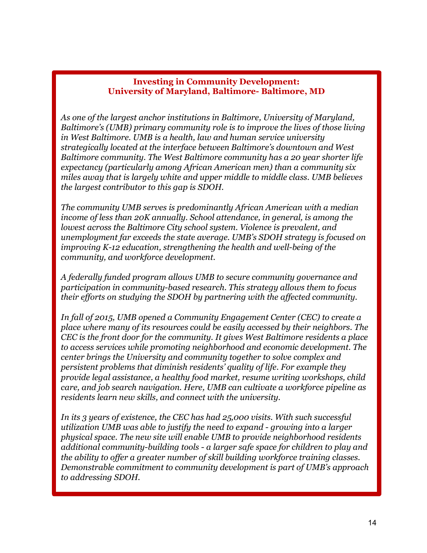#### **Investing in Community Development: University of Maryland, Baltimore- Baltimore, MD**

*As one of the largest anchor institutions in Baltimore, University of Maryland, Baltimore's (UMB) primary community role is to improve the lives of those living in West Baltimore. UMB is a health, law and human service university strategically located at the interface between Baltimore's downtown and West Baltimore community. The West Baltimore community has a 20 year shorter life expectancy (particularly among African American men) than a community six miles away that is largely white and upper middle to middle class. UMB believes the largest contributor to this gap is SDOH.*

*The community UMB serves is predominantly African American with a median income of less than 20K annually. School attendance, in general, is among the lowest across the Baltimore City school system. Violence is prevalent, and unemployment far exceeds the state average. UMB's SDOH strategy is focused on improving K-12 education, strengthening the health and well-being of the community, and workforce development.*

*A federally funded program allows UMB to secure community governance and participation in community-based research. This strategy allows them to focus their efforts on studying the SDOH by partnering with the affected community.*

*In fall of 2015, UMB opened a Community Engagement Center (CEC) to create a place where many of its resources could be easily accessed by their neighbors. The CEC is the front door for the community. It gives West Baltimore residents a place to access services while promoting neighborhood and economic development. The center brings the University and community together to solve complex and persistent problems that diminish residents' quality of life. For example they provide legal assistance, a healthy food market, resume writing workshops, child care, and job search navigation. Here, UMB can cultivate a workforce pipeline as residents learn new skills, and connect with the university.*

*In its 3 years of existence, the CEC has had 25,000 visits. With such successful utilization UMB was able to justify the need to expand - growing into a larger physical space. The new site will enable UMB to provide neighborhood residents additional community-building tools - a larger safe space for children to play and the ability to offer a greater number of skill building workforce training classes. Demonstrable commitment to community development is part of UMB's approach to addressing SDOH.*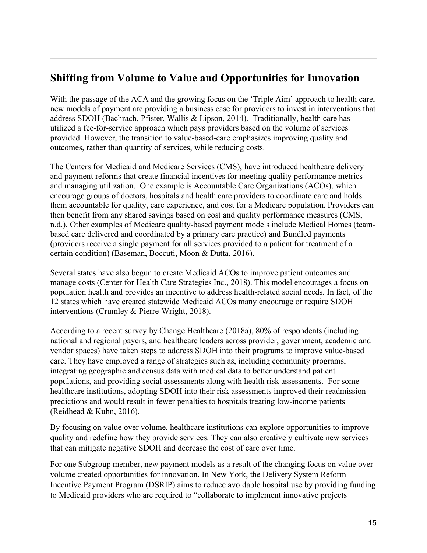### **Shifting from Volume to Value and Opportunities for Innovation**

With the passage of the ACA and the growing focus on the 'Triple Aim' approach to health care, new models of payment are providing a business case for providers to invest in interventions that address SDOH (Bachrach, Pfister, Wallis & Lipson, 2014). Traditionally, health care has utilized a fee-for-service approach which pays providers based on the volume of services provided. However, the transition to value-based-care emphasizes improving quality and outcomes, rather than quantity of services, while reducing costs.

The Centers for Medicaid and Medicare Services (CMS), have introduced healthcare delivery and payment reforms that create financial incentives for meeting quality performance metrics and managing utilization. One example is Accountable Care Organizations (ACOs), which encourage groups of doctors, hospitals and health care providers to coordinate care and holds them accountable for quality, care experience, and cost for a Medicare population. Providers can then benefit from any shared savings based on cost and quality performance measures (CMS, n.d.). Other examples of Medicare quality-based payment models include Medical Homes (teambased care delivered and coordinated by a primary care practice) and Bundled payments (providers receive a single payment for all services provided to a patient for treatment of a certain condition) (Baseman, Boccuti, Moon & Dutta, 2016).

Several states have also begun to create Medicaid ACOs to improve patient outcomes and manage costs (Center for Health Care Strategies Inc., 2018). This model encourages a focus on population health and provides an incentive to address health-related social needs. In fact, of the 12 states which have created statewide Medicaid ACOs many encourage or require SDOH interventions (Crumley & Pierre-Wright, 2018).

According to a recent survey by Change Healthcare (2018a), 80% of respondents (including national and regional payers, and healthcare leaders across provider, government, academic and vendor spaces) have taken steps to address SDOH into their programs to improve value-based care. They have employed a range of strategies such as, including community programs, integrating geographic and census data with medical data to better understand patient populations, and providing social assessments along with health risk assessments. For some healthcare institutions, adopting SDOH into their risk assessments improved their readmission predictions and would result in fewer penalties to hospitals treating low-income patients (Reidhead & Kuhn, 2016).

By focusing on value over volume, healthcare institutions can explore opportunities to improve quality and redefine how they provide services. They can also creatively cultivate new services that can mitigate negative SDOH and decrease the cost of care over time.

For one Subgroup member, new payment models as a result of the changing focus on value over volume created opportunities for innovation. In New York, the Delivery System Reform Incentive Payment Program (DSRIP) aims to reduce avoidable hospital use by providing funding to Medicaid providers who are required to "collaborate to implement innovative projects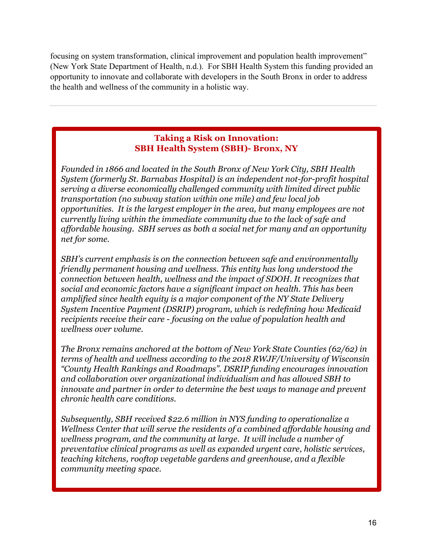focusing on system transformation, clinical improvement and population health improvement" (New York State Department of Health, n.d.). For SBH Health System this funding provided an opportunity to innovate and collaborate with developers in the South Bronx in order to address the health and wellness of the community in a holistic way.

#### **Taking a Risk on Innovation: SBH Health System (SBH)- Bronx, NY**

*Founded in 1866 and located in the South Bronx of New York City, SBH Health System (formerly St. Barnabas Hospital) is an independent not-for-profit hospital serving a diverse economically challenged community with limited direct public transportation (no subway station within one mile) and few local job opportunities. It is the largest employer in the area, but many employees are not currently living within the immediate community due to the lack of safe and affordable housing. SBH serves as both a social net for many and an opportunity net for some.*

*SBH's current emphasis is on the connection between safe and environmentally friendly permanent housing and wellness. This entity has long understood the connection between health, wellness and the impact of SDOH. It recognizes that social and economic factors have a significant impact on health. This has been amplified since health equity is a major component of the NY State Delivery System Incentive Payment (DSRIP) program, which is redefining how Medicaid recipients receive their care - focusing on the value of population health and wellness over volume.* 

*The Bronx remains anchored at the bottom of New York State Counties (62/62) in terms of health and wellness according to the 2018 RWJF/University of Wisconsin "County Health Rankings and Roadmaps". DSRIP funding encourages innovation and collaboration over organizational individualism and has allowed SBH to innovate and partner in order to determine the best ways to manage and prevent chronic health care conditions.* 

*Subsequently, SBH received \$22.6 million in NYS funding to operationalize a Wellness Center that will serve the residents of a combined affordable housing and wellness program, and the community at large. It will include a number of preventative clinical programs as well as expanded urgent care, holistic services, teaching kitchens, rooftop vegetable gardens and greenhouse, and a flexible community meeting space.*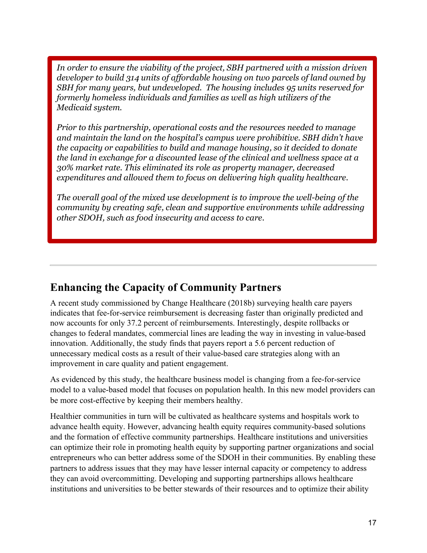*In order to ensure the viability of the project, SBH partnered with a mission driven developer to build 314 units of affordable housing on two parcels of land owned by SBH for many years, but undeveloped. The housing includes 95 units reserved for formerly homeless individuals and families as well as high utilizers of the Medicaid system.* 

*Prior to this partnership, operational costs and the resources needed to manage and maintain the land on the hospital's campus were prohibitive. SBH didn't have the capacity or capabilities to build and manage housing, so it decided to donate the land in exchange for a discounted lease of the clinical and wellness space at a 30% market rate. This eliminated its role as property manager, decreased expenditures and allowed them to focus on delivering high quality healthcare.* 

*The overall goal of the mixed use development is to improve the well-being of the community by creating safe, clean and supportive environments while addressing other SDOH, such as food insecurity and access to care.* 

### **Enhancing the Capacity of Community Partners**

A recent study commissioned by Change Healthcare (2018b) surveying health care payers indicates that fee-for-service reimbursement is decreasing faster than originally predicted and now accounts for only 37.2 percent of reimbursements. Interestingly, despite rollbacks or changes to federal mandates, commercial lines are leading the way in investing in value-based innovation. Additionally, the study finds that payers report a 5.6 percent reduction of unnecessary medical costs as a result of their value-based care strategies along with an improvement in care quality and patient engagement.

As evidenced by this study, the healthcare business model is changing from a fee-for-service model to a value-based model that focuses on population health. In this new model providers can be more cost-effective by keeping their members healthy.

Healthier communities in turn will be cultivated as healthcare systems and hospitals work to advance health equity. However, advancing health equity requires community-based solutions and the formation of effective community partnerships. Healthcare institutions and universities can optimize their role in promoting health equity by supporting partner organizations and social entrepreneurs who can better address some of the SDOH in their communities. By enabling these partners to address issues that they may have lesser internal capacity or competency to address they can avoid overcommitting. Developing and supporting partnerships allows healthcare institutions and universities to be better stewards of their resources and to optimize their ability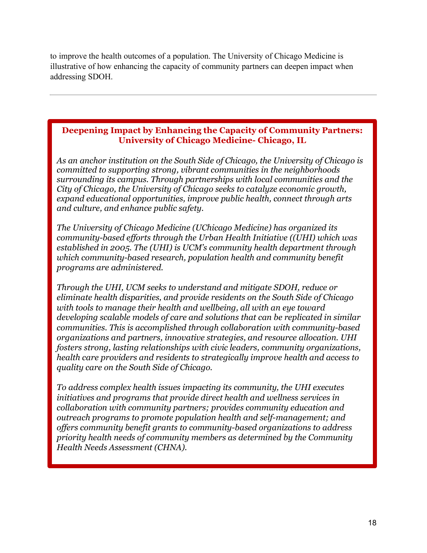to improve the health outcomes of a population. The University of Chicago Medicine is illustrative of how enhancing the capacity of community partners can deepen impact when addressing SDOH.

#### **Deepening Impact by Enhancing the Capacity of Community Partners: University of Chicago Medicine- Chicago, IL**

*As an anchor institution on the South Side of Chicago, the University of Chicago is committed to supporting strong, vibrant communities in the neighborhoods surrounding its campus. Through partnerships with local communities and the City of Chicago, the University of Chicago seeks to catalyze economic growth, expand educational opportunities, improve public health, connect through arts and culture, and enhance public safety.*

*The University of Chicago Medicine (UChicago Medicine) has organized its community-based efforts through the Urban Health Initiative ((UHI) which was established in 2005. The (UHI) is UCM's community health department through which community-based research, population health and community benefit programs are administered.* 

*Through the UHI, UCM seeks to understand and mitigate SDOH, reduce or eliminate health disparities, and provide residents on the South Side of Chicago with tools to manage their health and wellbeing, all with an eye toward developing scalable models of care and solutions that can be replicated in similar communities. This is accomplished through collaboration with community-based organizations and partners, innovative strategies, and resource allocation. UHI fosters strong, lasting relationships with civic leaders, community organizations, health care providers and residents to strategically improve health and access to quality care on the South Side of Chicago.* 

*To address complex health issues impacting its community, the UHI executes initiatives and programs that provide direct health and wellness services in collaboration with community partners; provides community education and outreach programs to promote population health and self-management; and offers community benefit grants to community-based organizations to address priority health needs of community members as determined by the Community Health Needs Assessment (CHNA).*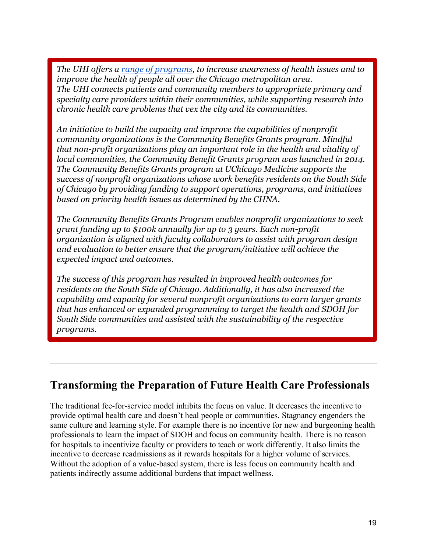*The UHI offers a range of programs, to increase awareness of health issues and to improve the health of people all over the Chicago metropolitan area. The UHI connects patients and community members to appropriate primary and specialty care providers within their communities, while supporting research into chronic health care problems that vex the city and its communities.* 

*An initiative to build the capacity and improve the capabilities of nonprofit community organizations is the Community Benefits Grants program. Mindful that non-profit organizations play an important role in the health and vitality of local communities, the Community Benefit Grants program was launched in 2014. The Community Benefits Grants program at UChicago Medicine supports the success of nonprofit organizations whose work benefits residents on the South Side of Chicago by providing funding to support operations, programs, and initiatives based on priority health issues as determined by the CHNA.*

*The Community Benefits Grants Program enables nonprofit organizations to seek grant funding up to \$100k annually for up to 3 years. Each non-profit organization is aligned with faculty collaborators to assist with program design and evaluation to better ensure that the program/initiative will achieve the expected impact and outcomes.*

*The success of this program has resulted in improved health outcomes for residents on the South Side of Chicago. Additionally, it has also increased the capability and capacity for several nonprofit organizations to earn larger grants that has enhanced or expanded programming to target the health and SDOH for South Side communities and assisted with the sustainability of the respective programs.*

### **Transforming the Preparation of Future Health Care Professionals**

The traditional fee-for-service model inhibits the focus on value. It decreases the incentive to provide optimal health care and doesn't heal people or communities. Stagnancy engenders the same culture and learning style. For example there is no incentive for new and burgeoning health professionals to learn the impact of SDOH and focus on community health. There is no reason for hospitals to incentivize faculty or providers to teach or work differently. It also limits the incentive to decrease readmissions as it rewards hospitals for a higher volume of services. Without the adoption of a value-based system, there is less focus on community health and patients indirectly assume additional burdens that impact wellness.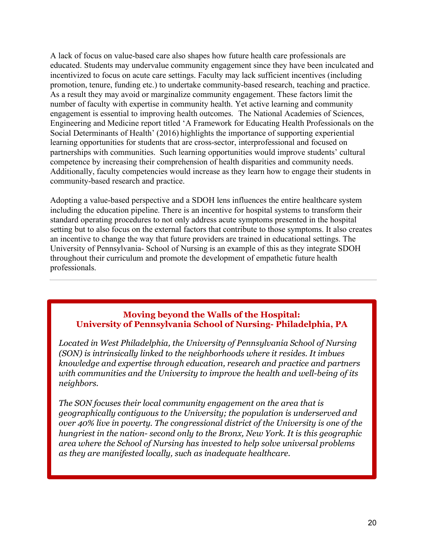A lack of focus on value-based care also shapes how future health care professionals are educated. Students may undervalue community engagement since they have been inculcated and incentivized to focus on acute care settings. Faculty may lack sufficient incentives (including promotion, tenure, funding etc.) to undertake community-based research, teaching and practice. As a result they may avoid or marginalize community engagement. These factors limit the number of faculty with expertise in community health. Yet active learning and community engagement is essential to improving health outcomes. The National Academies of Sciences, Engineering and Medicine report titled 'A Framework for Educating Health Professionals on the Social Determinants of Health' (2016) highlights the importance of supporting experiential learning opportunities for students that are cross-sector, interprofessional and focused on partnerships with communities. Such learning opportunities would improve students' cultural competence by increasing their comprehension of health disparities and community needs. Additionally, faculty competencies would increase as they learn how to engage their students in community-based research and practice.

Adopting a value-based perspective and a SDOH lens influences the entire healthcare system including the education pipeline. There is an incentive for hospital systems to transform their standard operating procedures to not only address acute symptoms presented in the hospital setting but to also focus on the external factors that contribute to those symptoms. It also creates an incentive to change the way that future providers are trained in educational settings. The University of Pennsylvania- School of Nursing is an example of this as they integrate SDOH throughout their curriculum and promote the development of empathetic future health professionals.

#### **Moving beyond the Walls of the Hospital: University of Pennsylvania School of Nursing- Philadelphia, PA**

*Located in West Philadelphia, the University of Pennsylvania School of Nursing (SON) is intrinsically linked to the neighborhoods where it resides. It imbues knowledge and expertise through education, research and practice and partners with communities and the University to improve the health and well-being of its neighbors.* 

*The SON focuses their local community engagement on the area that is geographically contiguous to the University; the population is underserved and over 40% live in poverty. The congressional district of the University is one of the hungriest in the nation- second only to the Bronx, New York. It is this geographic area where the School of Nursing has invested to help solve universal problems as they are manifested locally, such as inadequate healthcare.*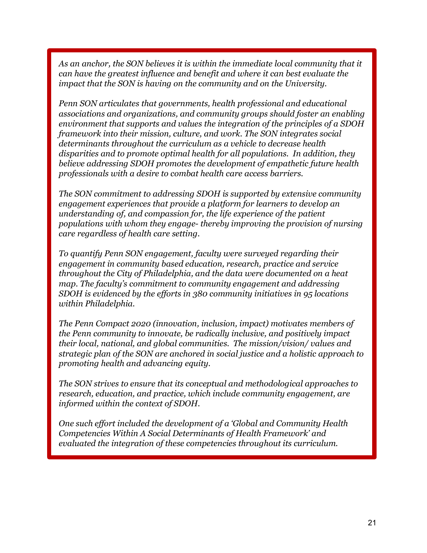As an anchor, the SON believes it is within the immediate local community that it *can have the greatest influence and benefit and where it can best evaluate the impact that the SON is having on the community and on the University.*

*Penn SON articulates that governments, health professional and educational associations and organizations, and community groups should foster an enabling environment that supports and values the integration of the principles of a SDOH framework into their mission, culture, and work. The SON integrates social determinants throughout the curriculum as a vehicle to decrease health disparities and to promote optimal health for all populations. In addition, they believe addressing SDOH promotes the development of empathetic future health professionals with a desire to combat health care access barriers.* 

*The SON commitment to addressing SDOH is supported by extensive community engagement experiences that provide a platform for learners to develop an understanding of, and compassion for, the life experience of the patient populations with whom they engage- thereby improving the provision of nursing care regardless of health care setting.* 

*To quantify Penn SON engagement, faculty were surveyed regarding their engagement in community based education, research, practice and service throughout the City of Philadelphia, and the data were documented on a heat map. The faculty's commitment to community engagement and addressing SDOH is evidenced by the efforts in 380 community initiatives in 95 locations within Philadelphia.* 

*The Penn Compact 2020 (innovation, inclusion, impact) motivates members of the Penn community to innovate, be radically inclusive, and positively impact their local, national, and global communities. The mission/vision/ values and strategic plan of the SON are anchored in social justice and a holistic approach to promoting health and advancing equity.* 

*The SON strives to ensure that its conceptual and methodological approaches to research, education, and practice, which include community engagement, are informed within the context of SDOH.*

*One such effort included the development of a 'Global and Community Health Competencies Within A Social Determinants of Health Framework' and evaluated the integration of these competencies throughout its curriculum.*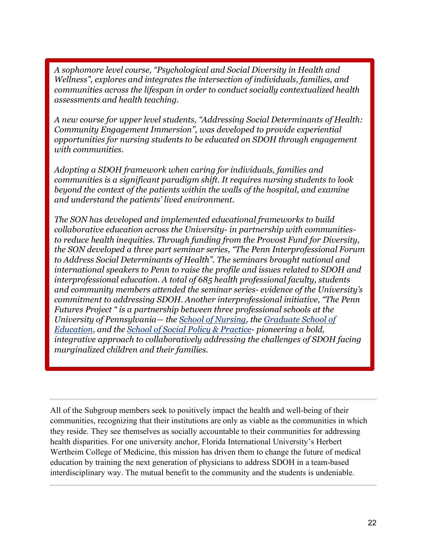*A sophomore level course, "Psychological and Social Diversity in Health and Wellness", explores and integrates the intersection of individuals, families, and communities across the lifespan in order to conduct socially contextualized health assessments and health teaching.* 

*A new course for upper level students, "Addressing Social Determinants of Health: Community Engagement Immersion", was developed to provide experiential opportunities for nursing students to be educated on SDOH through engagement with communities.* 

*Adopting a SDOH framework when caring for individuals, families and communities is a significant paradigm shift. It requires nursing students to look beyond the context of the patients within the walls of the hospital, and examine and understand the patients' lived environment.* 

*The SON has developed and implemented educational frameworks to build collaborative education across the University- in partnership with communitiesto reduce health inequities. Through funding from the Provost Fund for Diversity, the SON developed a three part seminar series, "The Penn Interprofessional Forum to Address Social Determinants of Health". The seminars brought national and international speakers to Penn to raise the profile and issues related to SDOH and interprofessional education. A total of 685 health professional faculty, students and community members attended the seminar series- evidence of the University's commitment to addressing SDOH. Another interprofessional initiative, "The Penn Futures Project " is a partnership between three professional schools at the University of Pennsylvania— the School of Nursing, the Graduate School of Education, and the School of Social Policy & Practice- pioneering a bold, integrative approach to collaboratively addressing the challenges of SDOH facing marginalized children and their families.*

All of the Subgroup members seek to positively impact the health and well-being of their communities, recognizing that their institutions are only as viable as the communities in which they reside. They see themselves as socially accountable to their communities for addressing health disparities. For one university anchor, Florida International University's Herbert Wertheim College of Medicine, this mission has driven them to change the future of medical education by training the next generation of physicians to address SDOH in a team-based interdisciplinary way. The mutual benefit to the community and the students is undeniable.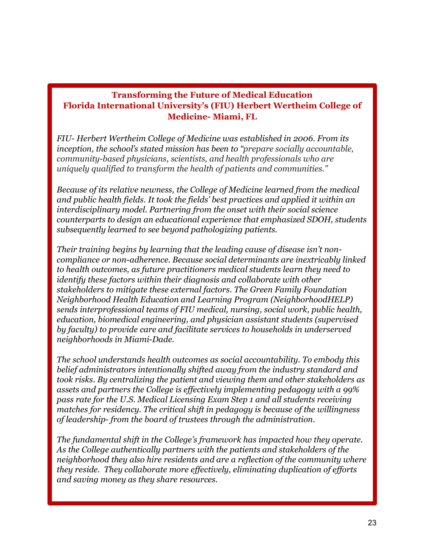### **Transforming the Future of Medical Education Florida International University's (FIU) Herbert Wertheim College of Medicine- Miami, FL**

*FIU- Herbert Wertheim College of Medicine was established in 2006. From its inception, the school's stated mission has been to "prepare socially accountable, community-based physicians, scientists, and health professionals who are uniquely qualified to transform the health of patients and communities."*

*Because of its relative newness, the College of Medicine learned from the medical and public health fields. It took the fields' best practices and applied it within an interdisciplinary model. Partnering from the onset with their social science counterparts to design an educational experience that emphasized SDOH, students subsequently learned to see beyond pathologizing patients.* 

*Their training begins by learning that the leading cause of disease isn't noncompliance or non-adherence. Because social determinants are inextricably linked to health outcomes, as future practitioners medical students learn they need to identify these factors within their diagnosis and collaborate with other stakeholders to mitigate these external factors. The Green Family Foundation Neighborhood Health Education and Learning Program (NeighborhoodHELP) sends interprofessional teams of FIU medical, nursing, social work, public health, education, biomedical engineering, and physician assistant students (supervised by faculty) to provide care and facilitate services to households in underserved neighborhoods in Miami-Dade.* 

*The school understands health outcomes as social accountability. To embody this belief administrators intentionally shifted away from the industry standard and took risks. By centralizing the patient and viewing them and other stakeholders as assets and partners the College is effectively implementing pedagogy with a 99% pass rate for the U.S. Medical Licensing Exam Step 1 and all students receiving matches for residency. The critical shift in pedagogy is because of the willingness of leadership- from the board of trustees through the administration.* 

*The fundamental shift in the College's framework has impacted how they operate. As the College authentically partners with the patients and stakeholders of the neighborhood they also hire residents and are a reflection of the community where they reside. They collaborate more effectively, eliminating duplication of efforts and saving money as they share resources.*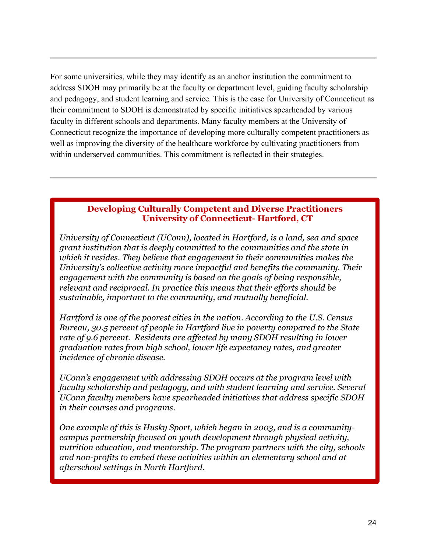For some universities, while they may identify as an anchor institution the commitment to address SDOH may primarily be at the faculty or department level, guiding faculty scholarship and pedagogy, and student learning and service. This is the case for University of Connecticut as their commitment to SDOH is demonstrated by specific initiatives spearheaded by various faculty in different schools and departments. Many faculty members at the University of Connecticut recognize the importance of developing more culturally competent practitioners as well as improving the diversity of the healthcare workforce by cultivating practitioners from within underserved communities. This commitment is reflected in their strategies.

#### **Developing Culturally Competent and Diverse Practitioners University of Connecticut- Hartford, CT**

*University of Connecticut (UConn), located in Hartford, is a land, sea and space grant institution that is deeply committed to the communities and the state in which it resides. They believe that engagement in their communities makes the University's collective activity more impactful and benefits the community. Their engagement with the community is based on the goals of being responsible, relevant and reciprocal. In practice this means that their efforts should be sustainable, important to the community, and mutually beneficial.* 

*Hartford is one of the poorest cities in the nation. According to the U.S. Census Bureau, 30.5 percent of people in Hartford live in poverty compared to the State rate of 9.6 percent. Residents are affected by many SDOH resulting in lower graduation rates from high school, lower life expectancy rates, and greater incidence of chronic disease.*

*UConn's engagement with addressing SDOH occurs at the program level with faculty scholarship and pedagogy, and with student learning and service. Several UConn faculty members have spearheaded initiatives that address specific SDOH in their courses and programs.* 

*One example of this is Husky Sport, which began in 2003, and is a communitycampus partnership focused on youth development through physical activity, nutrition education, and mentorship. The program partners with the city, schools and non-profits to embed these activities within an elementary school and at afterschool settings in North Hartford.*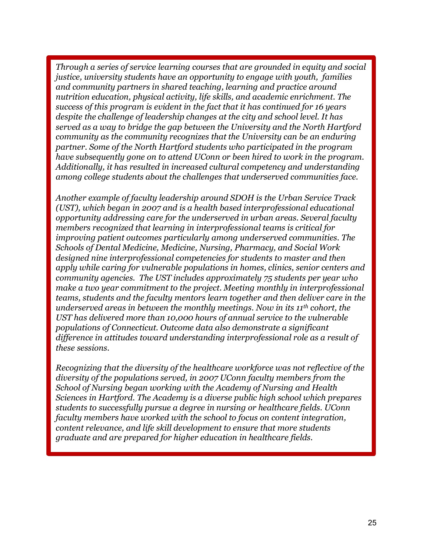*Through a series of service learning courses that are grounded in equity and social justice, university students have an opportunity to engage with youth, families and community partners in shared teaching, learning and practice around nutrition education, physical activity, life skills, and academic enrichment. The success of this program is evident in the fact that it has continued for 16 years despite the challenge of leadership changes at the city and school level. It has served as a way to bridge the gap between the University and the North Hartford community as the community recognizes that the University can be an enduring partner. Some of the North Hartford students who participated in the program have subsequently gone on to attend UConn or been hired to work in the program. Additionally, it has resulted in increased cultural competency and understanding among college students about the challenges that underserved communities face.*

*Another example of faculty leadership around SDOH is the Urban Service Track (UST), which began in 2007 and is a health based interprofessional educational opportunity addressing care for the underserved in urban areas. Several faculty members recognized that learning in interprofessional teams is critical for improving patient outcomes particularly among underserved communities. The Schools of Dental Medicine, Medicine, Nursing, Pharmacy, and Social Work designed nine interprofessional competencies for students to master and then apply while caring for vulnerable populations in homes, clinics, senior centers and community agencies. The UST includes approximately 75 students per year who make a two year commitment to the project. Meeting monthly in interprofessional teams, students and the faculty mentors learn together and then deliver care in the underserved areas in between the monthly meetings. Now in its 11th cohort, the UST has delivered more than 10,000 hours of annual service to the vulnerable populations of Connecticut. Outcome data also demonstrate a significant difference in attitudes toward understanding interprofessional role as a result of these sessions.*

*Recognizing that the diversity of the healthcare workforce was not reflective of the diversity of the populations served, in 2007 UConn faculty members from the School of Nursing began working with the Academy of Nursing and Health Sciences in Hartford. The Academy is a diverse public high school which prepares students to successfully pursue a degree in nursing or healthcare fields. UConn faculty members have worked with the school to focus on content integration, content relevance, and life skill development to ensure that more students graduate and are prepared for higher education in healthcare fields.*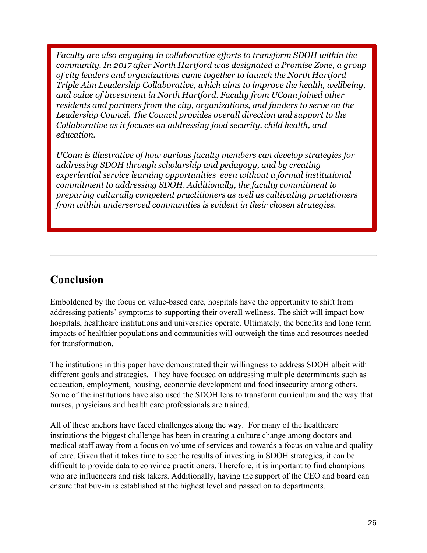*Faculty are also engaging in collaborative efforts to transform SDOH within the community. In 2017 after North Hartford was designated a Promise Zone, a group of city leaders and organizations came together to launch the North Hartford Triple Aim Leadership Collaborative, which aims to improve the health, wellbeing, and value of investment in North Hartford. Faculty from UConn joined other residents and partners from the city, organizations, and funders to serve on the Leadership Council. The Council provides overall direction and support to the Collaborative as it focuses on addressing food security, child health, and education.* 

*UConn is illustrative of how various faculty members can develop strategies for addressing SDOH through scholarship and pedagogy, and by creating experiential service learning opportunities even without a formal institutional commitment to addressing SDOH. Additionally, the faculty commitment to preparing culturally competent practitioners as well as cultivating practitioners from within underserved communities is evident in their chosen strategies.*

### **Conclusion**

Emboldened by the focus on value-based care, hospitals have the opportunity to shift from addressing patients' symptoms to supporting their overall wellness. The shift will impact how hospitals, healthcare institutions and universities operate. Ultimately, the benefits and long term impacts of healthier populations and communities will outweigh the time and resources needed for transformation.

The institutions in this paper have demonstrated their willingness to address SDOH albeit with different goals and strategies. They have focused on addressing multiple determinants such as education, employment, housing, economic development and food insecurity among others. Some of the institutions have also used the SDOH lens to transform curriculum and the way that nurses, physicians and health care professionals are trained.

All of these anchors have faced challenges along the way. For many of the healthcare institutions the biggest challenge has been in creating a culture change among doctors and medical staff away from a focus on volume of services and towards a focus on value and quality of care. Given that it takes time to see the results of investing in SDOH strategies, it can be difficult to provide data to convince practitioners. Therefore, it is important to find champions who are influencers and risk takers. Additionally, having the support of the CEO and board can ensure that buy-in is established at the highest level and passed on to departments.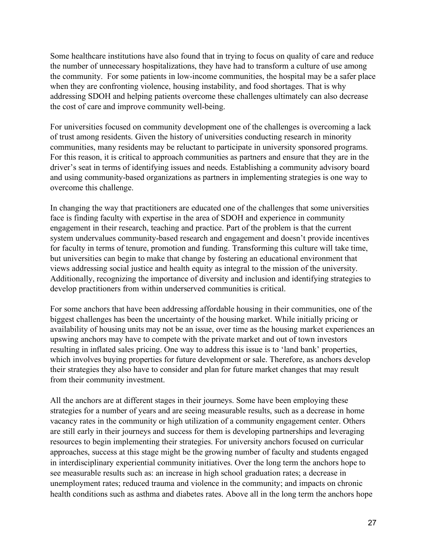Some healthcare institutions have also found that in trying to focus on quality of care and reduce the number of unnecessary hospitalizations, they have had to transform a culture of use among the community. For some patients in low-income communities, the hospital may be a safer place when they are confronting violence, housing instability, and food shortages. That is why addressing SDOH and helping patients overcome these challenges ultimately can also decrease the cost of care and improve community well-being.

For universities focused on community development one of the challenges is overcoming a lack of trust among residents. Given the history of universities conducting research in minority communities, many residents may be reluctant to participate in university sponsored programs. For this reason, it is critical to approach communities as partners and ensure that they are in the driver's seat in terms of identifying issues and needs. Establishing a community advisory board and using community-based organizations as partners in implementing strategies is one way to overcome this challenge.

In changing the way that practitioners are educated one of the challenges that some universities face is finding faculty with expertise in the area of SDOH and experience in community engagement in their research, teaching and practice. Part of the problem is that the current system undervalues community-based research and engagement and doesn't provide incentives for faculty in terms of tenure, promotion and funding. Transforming this culture will take time, but universities can begin to make that change by fostering an educational environment that views addressing social justice and health equity as integral to the mission of the university. Additionally, recognizing the importance of diversity and inclusion and identifying strategies to develop practitioners from within underserved communities is critical.

For some anchors that have been addressing affordable housing in their communities, one of the biggest challenges has been the uncertainty of the housing market. While initially pricing or availability of housing units may not be an issue, over time as the housing market experiences an upswing anchors may have to compete with the private market and out of town investors resulting in inflated sales pricing. One way to address this issue is to 'land bank' properties, which involves buying properties for future development or sale. Therefore, as anchors develop their strategies they also have to consider and plan for future market changes that may result from their community investment.

All the anchors are at different stages in their journeys. Some have been employing these strategies for a number of years and are seeing measurable results, such as a decrease in home vacancy rates in the community or high utilization of a community engagement center. Others are still early in their journeys and success for them is developing partnerships and leveraging resources to begin implementing their strategies. For university anchors focused on curricular approaches, success at this stage might be the growing number of faculty and students engaged in interdisciplinary experiential community initiatives. Over the long term the anchors hope to see measurable results such as: an increase in high school graduation rates; a decrease in unemployment rates; reduced trauma and violence in the community; and impacts on chronic health conditions such as asthma and diabetes rates. Above all in the long term the anchors hope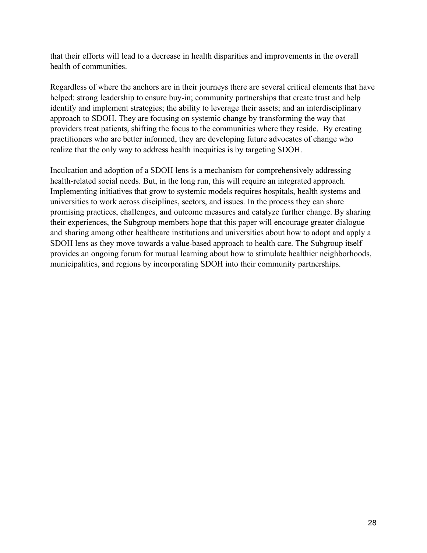that their efforts will lead to a decrease in health disparities and improvements in the overall health of communities.

Regardless of where the anchors are in their journeys there are several critical elements that have helped: strong leadership to ensure buy-in; community partnerships that create trust and help identify and implement strategies; the ability to leverage their assets; and an interdisciplinary approach to SDOH. They are focusing on systemic change by transforming the way that providers treat patients, shifting the focus to the communities where they reside. By creating practitioners who are better informed, they are developing future advocates of change who realize that the only way to address health inequities is by targeting SDOH.

Inculcation and adoption of a SDOH lens is a mechanism for comprehensively addressing health-related social needs. But, in the long run, this will require an integrated approach. Implementing initiatives that grow to systemic models requires hospitals, health systems and universities to work across disciplines, sectors, and issues. In the process they can share promising practices, challenges, and outcome measures and catalyze further change. By sharing their experiences, the Subgroup members hope that this paper will encourage greater dialogue and sharing among other healthcare institutions and universities about how to adopt and apply a SDOH lens as they move towards a value-based approach to health care. The Subgroup itself provides an ongoing forum for mutual learning about how to stimulate healthier neighborhoods, municipalities, and regions by incorporating SDOH into their community partnerships.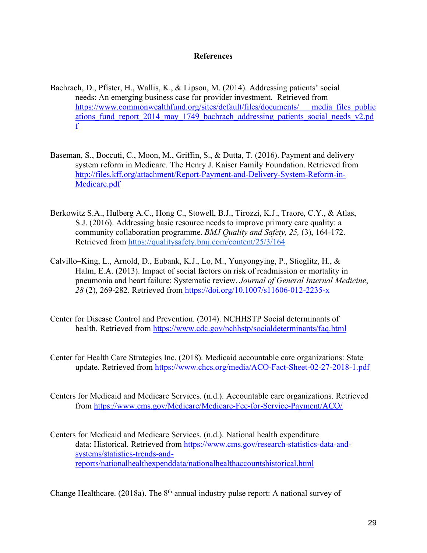#### **References**

- Bachrach, D., Pfister, H., Wallis, K., & Lipson, M. (2014). Addressing patients' social needs: An emerging business case for provider investment. Retrieved from https://www.commonwealthfund.org/sites/default/files/documents/\_\_\_media\_files\_public ations fund report 2014 may 1749 bachrach addressing patients social needs v2.pd f
- Baseman, S., Boccuti, C., Moon, M., Griffin, S., & Dutta, T. (2016). Payment and delivery system reform in Medicare. The Henry J. Kaiser Family Foundation. Retrieved from http://files.kff.org/attachment/Report-Payment-and-Delivery-System-Reform-in-Medicare.pdf
- Berkowitz S.A., Hulberg A.C., Hong C., Stowell, B.J., Tirozzi, K.J., Traore, C.Y., & Atlas, S.J. (2016). Addressing basic resource needs to improve primary care quality: a community collaboration programme. *BMJ Quality and Safety, 25,* (3), 164-172. Retrieved from https://qualitysafety.bmj.com/content/25/3/164
- Calvillo–King, L., Arnold, D., Eubank, K.J., Lo, M., Yunyongying, P., Stieglitz, H., & Halm, E.A. (2013). Impact of social factors on risk of readmission or mortality in pneumonia and heart failure: Systematic review. *Journal of General Internal Medicine*, *28* (2), 269-282. Retrieved from https://doi.org/10.1007/s11606-012-2235-x
- Center for Disease Control and Prevention. (2014). NCHHSTP Social determinants of health. Retrieved from https://www.cdc.gov/nchhstp/socialdeterminants/faq.html
- Center for Health Care Strategies Inc. (2018). Medicaid accountable care organizations: State update. Retrieved from https://www.chcs.org/media/ACO-Fact-Sheet-02-27-2018-1.pdf
- Centers for Medicaid and Medicare Services. (n.d.). Accountable care organizations. Retrieved from https://www.cms.gov/Medicare/Medicare-Fee-for-Service-Payment/ACO/
- Centers for Medicaid and Medicare Services. (n.d.). National health expenditure data: Historical. Retrieved from https://www.cms.gov/research-statistics-data-andsystems/statistics-trends-andreports/nationalhealthexpenddata/nationalhealthaccountshistorical.html

Change Healthcare. (2018a). The  $8<sup>th</sup>$  annual industry pulse report: A national survey of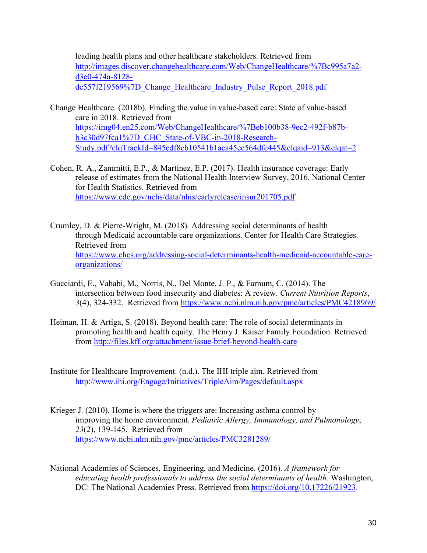leading health plans and other healthcare stakeholders. Retrieved from http://images.discover.changehealthcare.com/Web/ChangeHealthcare/%7Bc995a7a2 d3e0-474a-8128 dc557f219569%7D Change Healthcare Industry Pulse Report 2018.pdf

- Change Healthcare. (2018b). Finding the value in value-based care: State of value-based care in 2018. Retrieved from https://img04.en25.com/Web/ChangeHealthcare/%7Beb100b38-9ec2-492f-b87bb3c30d97fca1%7D\_CHC\_State-of-VBC-in-2018-Research-Study.pdf?elqTrackId=845cdf8cb10541b1aca45ee564dfc445&elqaid=913&elqat=2
- Cohen, R. A., Zammitti, E.P., & Martinez, E.P. (2017). Health insurance coverage: Early release of estimates from the National Health Interview Survey, 2016. National Center for Health Statistics. Retrieved from https://www.cdc.gov/nchs/data/nhis/earlyrelease/insur201705.pdf
- Crumley, D. & Pierre-Wright, M. (2018). Addressing social determinants of health through Medicaid accountable care organizations. Center for Health Care Strategies. Retrieved from https://www.chcs.org/addressing-social-determinants-health-medicaid-accountable-careorganizations/
- Gucciardi, E., Vahabi, M., Norris, N., Del Monte, J. P., & Farnum, C. (2014). The intersection between food insecurity and diabetes: A review. *Current Nutrition Reports*, *3*(4), 324-332. Retrieved from https://www.ncbi.nlm.nih.gov/pmc/articles/PMC4218969/
- Heiman, H. & Artiga, S. (2018). Beyond health care: The role of social determinants in promoting health and health equity. The Henry J. Kaiser Family Foundation. Retrieved from http://files.kff.org/attachment/issue-brief-beyond-health-care
- Institute for Healthcare Improvement. (n.d.). The IHI triple aim. Retrieved from http://www.ihi.org/Engage/Initiatives/TripleAim/Pages/default.aspx
- Krieger J. (2010). Home is where the triggers are: Increasing asthma control by improving the home environment. *Pediatric Allergy, Immunology, and Pulmonology*, *23*(2), 139-145. Retrieved from https://www.ncbi.nlm.nih.gov/pmc/articles/PMC3281289/
- National Academies of Sciences, Engineering, and Medicine. (2016). *A framework for educating health professionals to address the social determinants of health.* Washington, DC: The National Academies Press. Retrieved from https://doi.org/10.17226/21923.